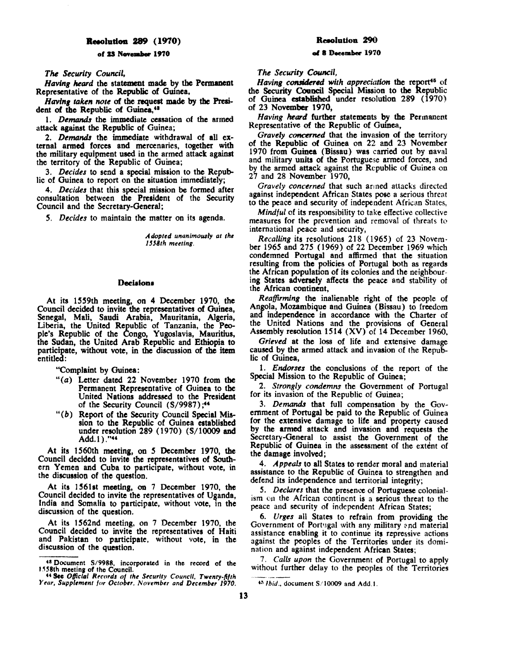# **Reeoludon 289 (1970)**

### of 23 November 1970

**The Security Council,** 

*Having heard the statement made by the Permanent* Representative of the Republic of Guinea,

Having taken note of the request made by the President of the Republic of Guinea.<sup>43</sup>

1. *Demands* the immediate cessation of the armed attack against the Republic of Guinea;

2. *Demands* the immediate withdrawal of all external armed forces and mercenaries, together with the military equipment used in the armed attack against the territory of the Republic of Guinea;

3. *Decides* to send a special mission to the Republic of Ouinea to report on the situation immediately;

4. *Decides* that this special mission be formed after consultation between **the President** of the Security Council and the Secretary-General;

*5. Decides* to maintain the matter on its agenda.

*A dopttd unanimously at the 1558th meeting.* 

#### Decisions

At its 1559th meeting, on 4 December 1970, the Council decided to invite the representatives of Guinea, Senegal, Mali, Saudi Arabia, Mauritania, Algeria, Liberia, the United Republic of Tanzania, the People's Republic of the Congo, Yugoslavia, Mauritius, the Sudan, the United Arab Republic and Ethiopia to participate, without vote, in the discussion of the item entitled:

"Complaint by Guinea:

- "(a) Letter dated 22 November 1970 from the Permanent Representative of Ouinea to **the**  United Nations addressed to the **President**  of the Security Council (S/9987);<sup>44</sup>
- $"$  (b) Report of the Security Council Special Mission to the Republic of Guinea established under resolution 289 (1970) (S/10009 and Add.1) ."4'

At its 1560th meeting, on *5* December 1970, the Council decided to invite the representatives of Southern Yemen and Cuba to participate, without vote, in the discussion of the question.

At its 1561st meeting, on 7 December 1970, the Council decided to invite the representatives of Uganda, India and Somalia to participate, without vote, in the discussion of the question.

At its 1562nd meeting, on 7 December 1970, the Council decided to invite the representatives of Haiti and Pakistan to participate, without vote, in the discussion of the question.

# **Resolution 290**

# **ef 8 December 1970**

*The Security Council,* 

*Having considered with appreciation the report<sup>45</sup> of* the Security Council Special Mission to the Republic of Guinea established under rewlution 289 (1970) of 23 **November** 1970,

*Having heard* further statements by the Pennanent Representative of the Republic of Guinea,

Gravely concerned that the invasion of the territory of the Republic of Guinea on 22 and 23 November 1970 from Guinea (Bissau) was carried out by naval and military units of the Portuguese armed forces, and by the armed attack against the Republic of Guinea on 27 and 28 November 1970,

*Gravely concerned* that such armed attacks directed against independent African States pose a serious threat to the peace and security of independent African States,

*Mindful* of its responsibility to take effective collective measures for the prevention and removal of threats to international peace and security,

*Recalling* its resolutions 218 ( 1965) of 23 Novem. ber 1965 and 275 (1969) of 22 December 1969 which condemned **Portugal and** affirmed that the situation resulting from the policies of Portugal both as regards the African population of its colonies and the neighbourmg States adversely affects the peace and stability of the African continent.

*Reaffirming* the inalienable right of the people of Angola, Mozambique and Guinea (Bissau) to freedom and independence in accordance with the Charter of the United Nations and the provisions of General Assembly resolution 1514 (XV) of 14 December 1960,

*Grieved* at the loss of life and extensive damage caused by the armed attack and invasion of the Republic of Guinea,

1. *Endorses* the conclusions of the report of the Special Mission to the Republic of Guinea;

2. *Strongly condemns* the Government of Portugal for its invasion of the Republic of Guinea;

3. *Demands* that full compensation by the Government of Portugal be paid to the Republic of Guinea for the **extensive** damage to life and property caused by the armed attack and invasion and requests the Secretary-General to assist the Government of the Republic of Guinea in the assessment of the extent of the **damage** involved;

4. Appeals to all States to render moral and material assistance to the Republic of Guinea to strengthen and defend its independence and territorial integrity;

5. *Declares* that the presence of Portuguese colonialism en the African continent is a serious threat to the peace and security of independent African States;

6. *Urges* all States to refrain from providing the Government of Portugal with any military and material assistance enabling it to continue its repressive actions against the peoples of the Territories under its domination and against independent **African States;** 

. 7. Calls upon the Government of Portugal to apply without further delay to the peoples of the Territories

<sup>&</sup>lt;sup>48</sup> Document S/9988, incorporated in the record of the 1558th meeting of the Council. 1.H8th meetins of the Council. 44 **See** *O{ficlal* Rfrord! of *the Stcurlty Council, Twenty-fifth* 

Year, Supplement for October, November and December 1970.

<sup>•~</sup> *Ibid.,* document *S/* 10009 and Add. I.